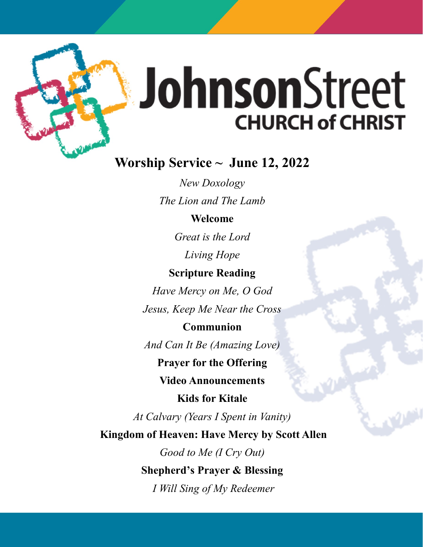

# JohnsonStreet **CHURCH of CHRIST**

## **Worship Service ~ June 12, 2022**

*New Doxology The Lion and The Lamb*

## **Welcome**

*Great is the Lord Living Hope*

## **Scripture Reading**

*Have Mercy on Me, O God Jesus, Keep Me Near the Cross*

## **Communion**

*And Can It Be (Amazing Love)*

**Prayer for the Offering**

**Video Announcements**

**Kids for Kitale**

*At Calvary (Years I Spent in Vanity)*

**Kingdom of Heaven: Have Mercy by Scott Allen**

*Good to Me (I Cry Out)*  **Shepherd's Prayer & Blessing** *I Will Sing of My Redeemer*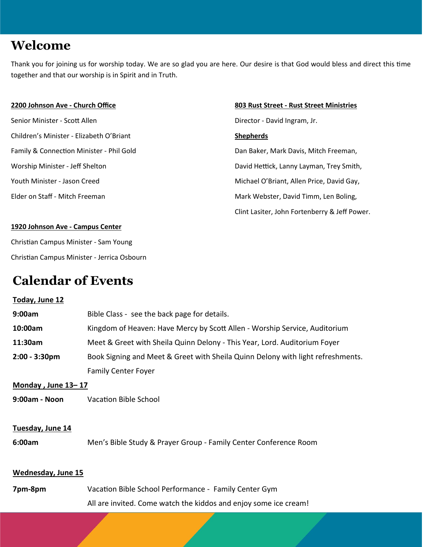## **Welcome**

Thank you for joining us for worship today. We are so glad you are here. Our desire is that God would bless and direct this time together and that our worship is in Spirit and in Truth.

Senior Minister - Scott Allen Director - David Ingram, Jr. Children's Minister - Elizabeth O'Briant **Shepherds** Family & Connection Minister - Phil Gold **Dan Baker, Mark Davis, Mitch Freeman**,

#### **2200 Johnson Ave - Church Office 803 Rust Street - Rust Street Ministries**

Worship Minister - Jeff Shelton David Hettick, Lanny Layman, Trey Smith, Youth Minister - Jason Creed Michael O'Briant, Allen Price, David Gay, Elder on Staff - Mitch Freeman Mark Webster, David Timm, Len Boling, Clint Lasiter, John Fortenberry & Jeff Power.

#### **1920 Johnson Ave - Campus Center**

Christian Campus Minister - Sam Young Christian Campus Minister - Jerrica Osbourn

## **Calendar of Events**

## **Today, June 12 9:00am** Bible Class - see the back page for details. **10:00am** Kingdom of Heaven: Have Mercy by Scott Allen - Worship Service, Auditorium **11:30am** Meet & Greet with Sheila Quinn Delony - This Year, Lord. Auditorium Foyer **2:00 - 3:30pm** Book Signing and Meet & Greet with Sheila Quinn Delony with light refreshments. Family Center Foyer **Monday , June 13– 17 9:00am - Noon** Vacation Bible School **Tuesday, June 14 6:00am** Men's Bible Study & Prayer Group - Family Center Conference Room **Wednesday, June 15 7pm-8pm** Vacation Bible School Performance - Family Center Gym

All are invited. Come watch the kiddos and enjoy some ice cream!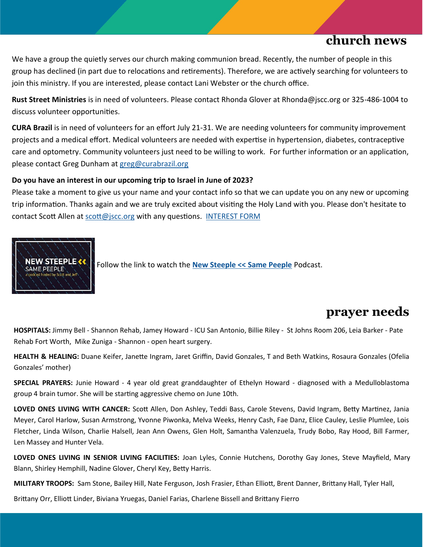## **church news**

We have a group the quietly serves our church making communion bread. Recently, the number of people in this group has declined (in part due to relocations and retirements). Therefore, we are actively searching for volunteers to join this ministry. If you are interested, please contact Lani Webster or the church office.

**Rust Street Ministries** is in need of volunteers. Please contact Rhonda Glover at Rhonda@jscc.org or 325-486-1004 to discuss volunteer opportunities.

**CURA Brazil** is in need of volunteers for an effort July 21-31. We are needing volunteers for community improvement projects and a medical effort. Medical volunteers are needed with expertise in hypertension, diabetes, contraceptive care and optometry. Community volunteers just need to be willing to work. For further information or an application, please contact Greg Dunham at [greg@curabrazil.org](mailto:greg@curabrazil.org)

### **Do you have an interest in our upcoming trip to Israel in June of 2023?**

Please take a moment to give us your name and your contact info so that we can update you on any new or upcoming trip information. Thanks again and we are truly excited about visiting the Holy Land with you. Please don't hesitate to contact Scott Allen at [scott@jscc.org](mailto:scott@jscc.org) with any questions. [INTEREST FORM](https://johnsonstreetchurch.us8.list-manage.com/track/click?u=686b7eff1b35437e0dce82465&id=5f245ce708&e=4beac448ca)



Follow the link to watch the **[New Steeple << Same Peeple](https://www.youtube.com/watch?v=i6S-MotkpXs&list=PLwE1lYRIY51SZ6SW5jVAsajtZ-LleyFff&index=1)** Podcast.

## **prayer needs**

**HOSPITALS:** Jimmy Bell - Shannon Rehab, Jamey Howard - ICU San Antonio, Billie Riley - St Johns Room 206, Leia Barker - Pate Rehab Fort Worth, Mike Zuniga - Shannon - open heart surgery.

**HEALTH & HEALING:** Duane Keifer, Janette Ingram, Jaret Griffin, David Gonzales, T and Beth Watkins, Rosaura Gonzales (Ofelia Gonzales' mother)

**SPECIAL PRAYERS:** Junie Howard - 4 year old great granddaughter of Ethelyn Howard - diagnosed with a Medulloblastoma group 4 brain tumor. She will be starting aggressive chemo on June 10th.

**LOVED ONES LIVING WITH CANCER:** Scott Allen, Don Ashley, Teddi Bass, Carole Stevens, David Ingram, Betty Martinez, Jania Meyer, Carol Harlow, Susan Armstrong, Yvonne Piwonka, Melva Weeks, Henry Cash, Fae Danz, Elice Cauley, Leslie Plumlee, Lois Fletcher, Linda Wilson, Charlie Halsell, Jean Ann Owens, Glen Holt, Samantha Valenzuela, Trudy Bobo, Ray Hood, Bill Farmer, Len Massey and Hunter Vela.

**LOVED ONES LIVING IN SENIOR LIVING FACILITIES:** Joan Lyles, Connie Hutchens, Dorothy Gay Jones, Steve Mayfield, Mary Blann, Shirley Hemphill, Nadine Glover, Cheryl Key, Betty Harris.

**MILITARY TROOPS:** Sam Stone, Bailey Hill, Nate Ferguson, Josh Frasier, Ethan Elliott, Brent Danner, Brittany Hall, Tyler Hall,

Brittany Orr, Elliott Linder, Biviana Yruegas, Daniel Farias, Charlene Bissell and Brittany Fierro